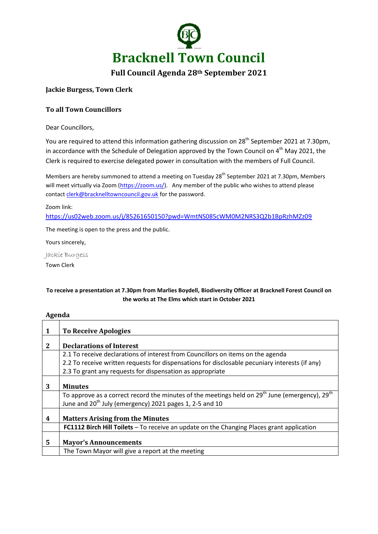

# **Full Council Agenda 28th September 2021**

## **Jackie Burgess, Town Clerk**

## **To all Town Councillors**

Dear Councillors,

You are required to attend this information gathering discussion on 28<sup>th</sup> September 2021 at 7.30pm, in accordance with the Schedule of Delegation approved by the Town Council on  $4<sup>th</sup>$  May 2021, the Clerk is required to exercise delegated power in consultation with the members of Full Council.

Members are hereby summoned to attend a meeting on Tuesday 28<sup>th</sup> September 2021 at 7.30pm, Members will meet virtually via Zoom [\(https://zoom.us/\)](https://zoom.us/). Any member of the public who wishes to attend please contac[t clerk@bracknelltowncouncil.gov.uk](mailto:clerk@bracknelltowncouncil.gov.uk) for the password.

Zoom link:

<https://us02web.zoom.us/j/85261650150?pwd=WmtNS085cWM0M2NRS3Q2b1BpRzhMZz09>

The meeting is open to the press and the public.

Yours sincerely,

Jackie Burgess

Town Clerk

## **To receive a presentation at 7.30pm from Marlies Boydell, Biodiversity Officer at Bracknell Forest Council on the works at The Elms which start in October 2021**

#### **Agenda**

| 1 | To Receive Apologies                                                                                                                                                            |
|---|---------------------------------------------------------------------------------------------------------------------------------------------------------------------------------|
| 2 | <b>Declarations of Interest</b>                                                                                                                                                 |
|   |                                                                                                                                                                                 |
|   | 2.1 To receive declarations of interest from Councillors on items on the agenda                                                                                                 |
|   | 2.2 To receive written requests for dispensations for disclosable pecuniary interests (if any)                                                                                  |
|   | 2.3 To grant any requests for dispensation as appropriate                                                                                                                       |
| 3 | <b>Minutes</b>                                                                                                                                                                  |
|   | To approve as a correct record the minutes of the meetings held on $29^{th}$ June (emergency), $29^{th}$<br>June and 20 <sup>th</sup> July (emergency) 2021 pages 1, 2-5 and 10 |
| 4 | <b>Matters Arising from the Minutes</b>                                                                                                                                         |
|   | FC1112 Birch Hill Toilets - To receive an update on the Changing Places grant application                                                                                       |
| 5 | <b>Mayor's Announcements</b>                                                                                                                                                    |
|   | The Town Mayor will give a report at the meeting                                                                                                                                |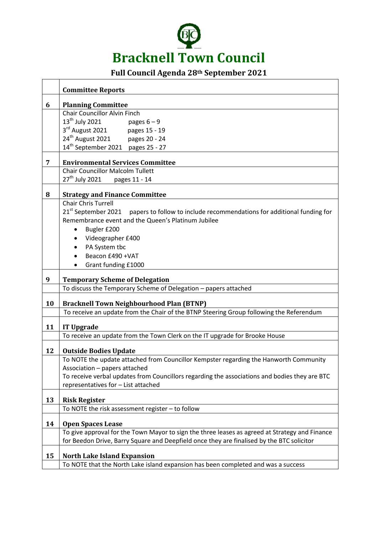

# **Full Council Agenda 28th September 2021**

|    | <b>Committee Reports</b>                                                                               |
|----|--------------------------------------------------------------------------------------------------------|
| 6  | <b>Planning Committee</b>                                                                              |
|    | <b>Chair Councillor Alvin Finch</b>                                                                    |
|    | 13 <sup>th</sup> July 2021<br>pages $6 - 9$                                                            |
|    | $3rd$ August 2021<br>pages 15 - 19                                                                     |
|    | $24^{th}$ August 2021 pages 20 - 24                                                                    |
|    | 14 <sup>th</sup> September 2021 pages 25 - 27                                                          |
| 7  | <b>Environmental Services Committee</b>                                                                |
|    | <b>Chair Councillor Malcolm Tullett</b>                                                                |
|    | 27 <sup>th</sup> July 2021   pages 11 - 14                                                             |
|    |                                                                                                        |
| 8  | <b>Strategy and Finance Committee</b>                                                                  |
|    | <b>Chair Chris Turrell</b>                                                                             |
|    | 21 <sup>st</sup> September 2021 papers to follow to include recommendations for additional funding for |
|    | Remembrance event and the Queen's Platinum Jubilee                                                     |
|    | Bugler £200                                                                                            |
|    | Videographer £400                                                                                      |
|    | PA System tbc                                                                                          |
|    | Beacon £490 + VAT                                                                                      |
|    | Grant funding £1000                                                                                    |
| 9  | <b>Temporary Scheme of Delegation</b>                                                                  |
|    | To discuss the Temporary Scheme of Delegation - papers attached                                        |
|    |                                                                                                        |
| 10 | <b>Bracknell Town Neighbourhood Plan (BTNP)</b>                                                        |
|    | To receive an update from the Chair of the BTNP Steering Group following the Referendum                |
| 11 | <b>IT Upgrade</b>                                                                                      |
|    | To receive an update from the Town Clerk on the IT upgrade for Brooke House                            |
| 12 | <b>Outside Bodies Update</b>                                                                           |
|    | To NOTE the update attached from Councillor Kempster regarding the Hanworth Community                  |
|    | Association – papers attached                                                                          |
|    | To receive verbal updates from Councillors regarding the associations and bodies they are BTC          |
|    | representatives for - List attached                                                                    |
| 13 | <b>Risk Register</b>                                                                                   |
|    | To NOTE the risk assessment register - to follow                                                       |
| 14 | <b>Open Spaces Lease</b>                                                                               |
|    | To give approval for the Town Mayor to sign the three leases as agreed at Strategy and Finance         |
|    | for Beedon Drive, Barry Square and Deepfield once they are finalised by the BTC solicitor              |
|    |                                                                                                        |
| 15 | <b>North Lake Island Expansion</b>                                                                     |
|    | To NOTE that the North Lake island expansion has been completed and was a success                      |